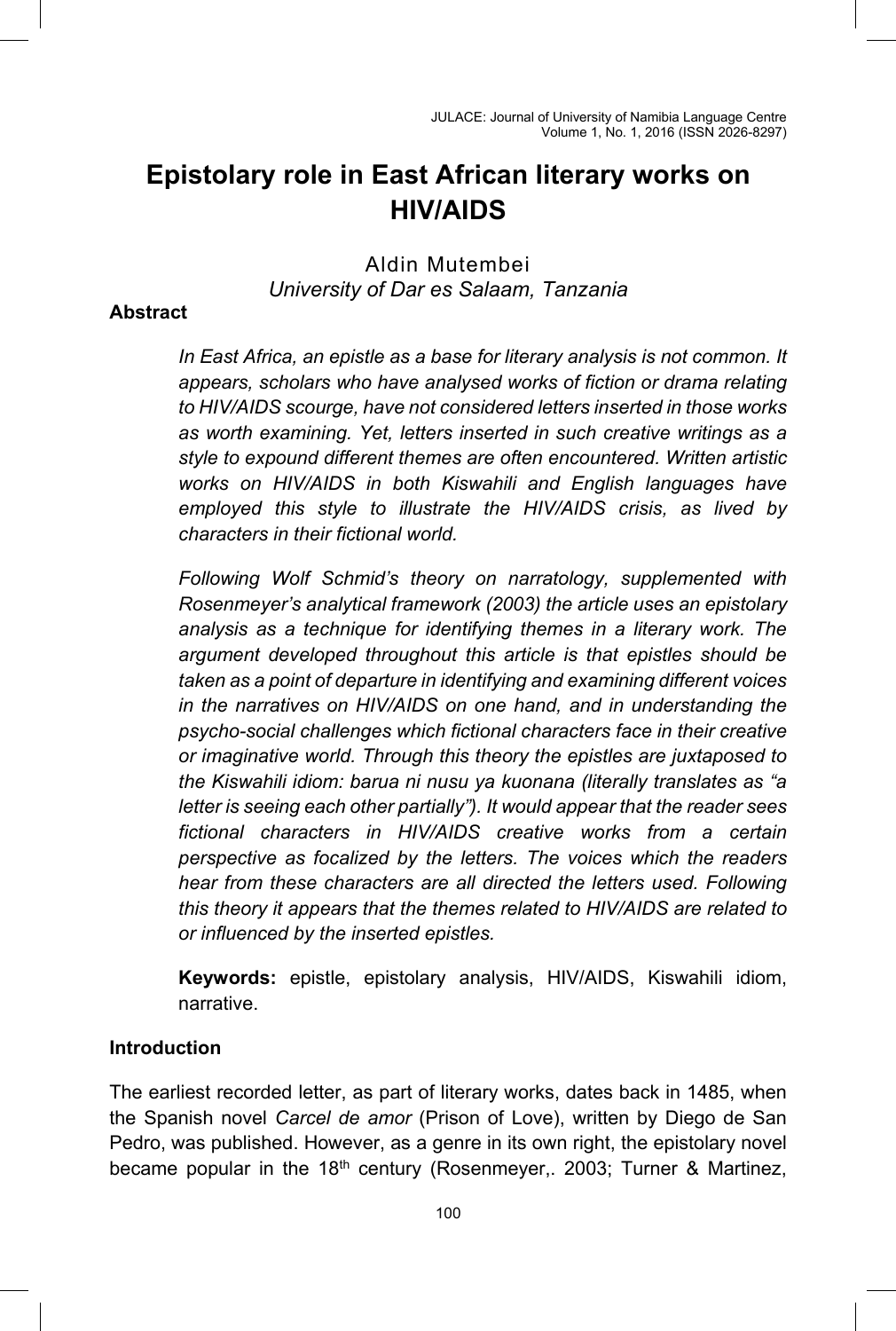# **Epistolary role in East African literary works on HIV/AIDS**

# Aldin Mutembei *University of Dar es Salaam, Tanzania*

## **Abstract**

*In East Africa, an epistle as a base for literary analysis is not common. It appears, scholars who have analysed works of fiction or drama relating to HIV/AIDS scourge, have not considered letters inserted in those works as worth examining. Yet, letters inserted in such creative writings as a style to expound different themes are often encountered. Written artistic works on HIV/AIDS in both Kiswahili and English languages have employed this style to illustrate the HIV/AIDS crisis, as lived by characters in their fictional world.* 

*Following Wolf Schmid's theory on narratology, supplemented with Rosenmeyer's analytical framework (2003) the article uses an epistolary analysis as a technique for identifying themes in a literary work. The argument developed throughout this article is that epistles should be taken as a point of departure in identifying and examining different voices in the narratives on HIV/AIDS on one hand, and in understanding the psycho-social challenges which fictional characters face in their creative or imaginative world. Through this theory the epistles are juxtaposed to the Kiswahili idiom: barua ni nusu ya kuonana (literally translates as "a letter is seeing each other partially"). It would appear that the reader sees fictional characters in HIV/AIDS creative works from a certain perspective as focalized by the letters. The voices which the readers hear from these characters are all directed the letters used. Following this theory it appears that the themes related to HIV/AIDS are related to or influenced by the inserted epistles.* 

**Keywords:** epistle, epistolary analysis, HIV/AIDS, Kiswahili idiom, narrative.

### **Introduction**

The earliest recorded letter, as part of literary works, dates back in 1485, when the Spanish novel *Carcel de amor* (Prison of Love), written by Diego de San Pedro, was published. However, as a genre in its own right, the epistolary novel became popular in the 18<sup>th</sup> century (Rosenmeyer, 2003; Turner & Martinez,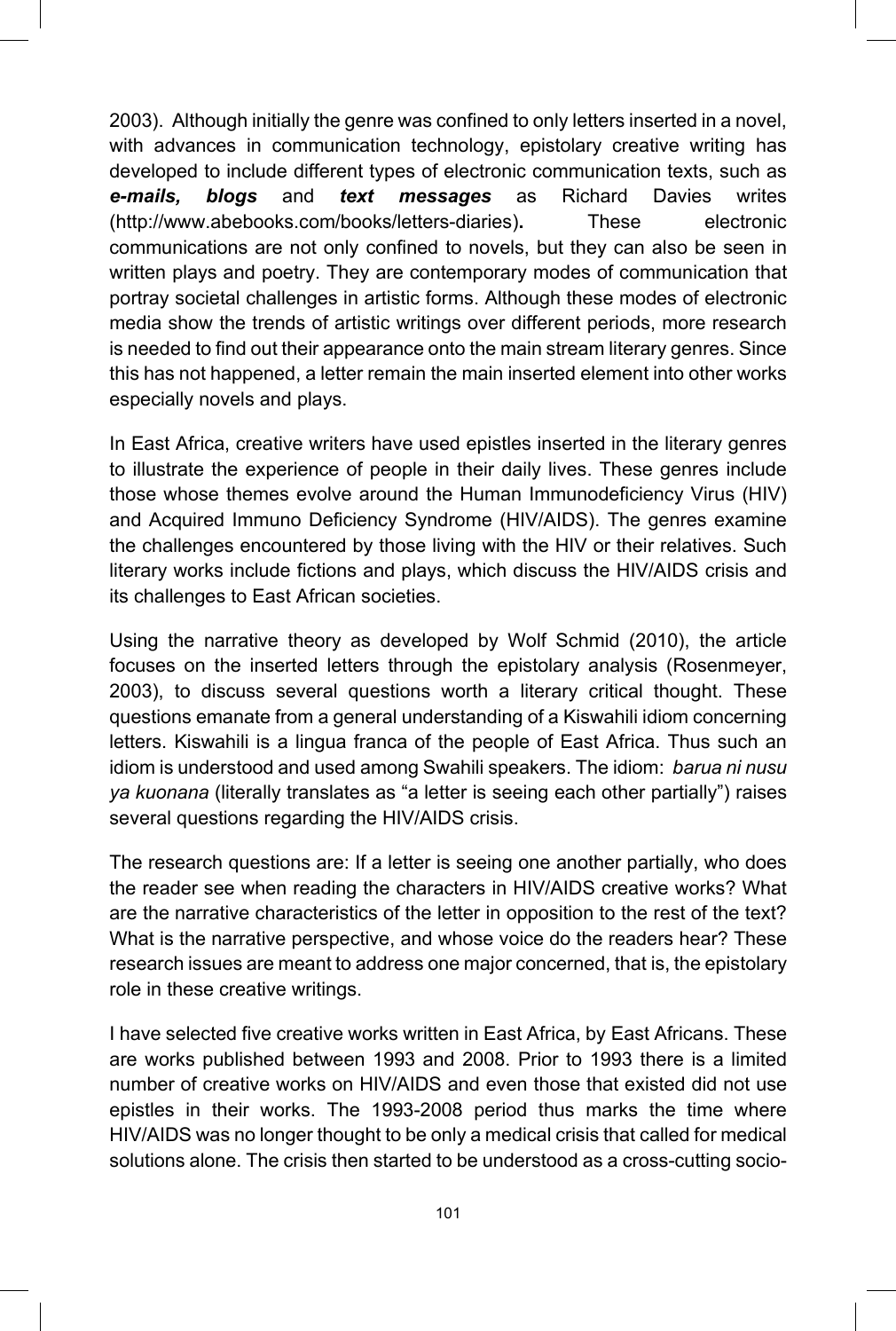2003). Although initially the genre was confined to only letters inserted in a novel, with advances in communication technology, epistolary creative writing has developed to include different types of electronic communication texts, such as *e-mails, blogs* and *text messages* as Richard Davies writes (http://www.abebooks.com/books/letters-diaries)**.** These electronic communications are not only confined to novels, but they can also be seen in written plays and poetry. They are contemporary modes of communication that portray societal challenges in artistic forms. Although these modes of electronic media show the trends of artistic writings over different periods, more research is needed to find out their appearance onto the main stream literary genres. Since this has not happened, a letter remain the main inserted element into other works especially novels and plays.

In East Africa, creative writers have used epistles inserted in the literary genres to illustrate the experience of people in their daily lives. These genres include those whose themes evolve around the Human Immunodeficiency Virus (HIV) and Acquired Immuno Deficiency Syndrome (HIV/AIDS). The genres examine the challenges encountered by those living with the HIV or their relatives. Such literary works include fictions and plays, which discuss the HIV/AIDS crisis and its challenges to East African societies.

Using the narrative theory as developed by Wolf Schmid (2010), the article focuses on the inserted letters through the epistolary analysis (Rosenmeyer, 2003), to discuss several questions worth a literary critical thought. These questions emanate from a general understanding of a Kiswahili idiom concerning letters. Kiswahili is a lingua franca of the people of East Africa. Thus such an idiom is understood and used among Swahili speakers. The idiom: *barua ni nusu ya kuonana* (literally translates as "a letter is seeing each other partially") raises several questions regarding the HIV/AIDS crisis.

The research questions are: If a letter is seeing one another partially, who does the reader see when reading the characters in HIV/AIDS creative works? What are the narrative characteristics of the letter in opposition to the rest of the text? What is the narrative perspective, and whose voice do the readers hear? These research issues are meant to address one major concerned, that is, the epistolary role in these creative writings.

I have selected five creative works written in East Africa, by East Africans. These are works published between 1993 and 2008. Prior to 1993 there is a limited number of creative works on HIV/AIDS and even those that existed did not use epistles in their works. The 1993-2008 period thus marks the time where HIV/AIDS was no longer thought to be only a medical crisis that called for medical solutions alone. The crisis then started to be understood as a cross-cutting socio-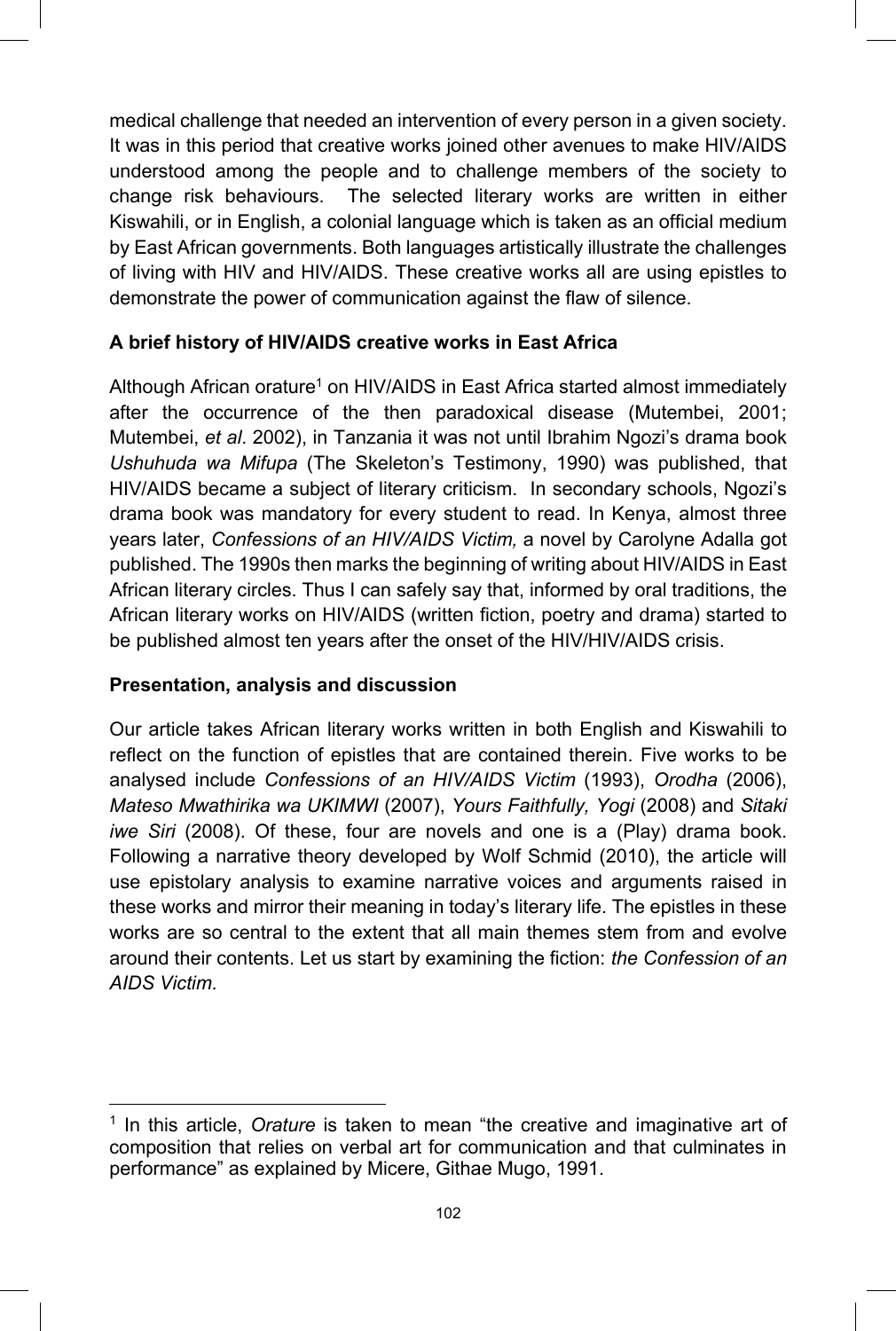medical challenge that needed an intervention of every person in a given society. It was in this period that creative works joined other avenues to make HIV/AIDS understood among the people and to challenge members of the society to change risk behaviours. The selected literary works are written in either Kiswahili, or in English, a colonial language which is taken as an official medium by East African governments. Both languages artistically illustrate the challenges of living with HIV and HIV/AIDS. These creative works all are using epistles to demonstrate the power of communication against the flaw of silence.

## **A brief history of HIV/AIDS creative works in East Africa**

Although African orature<sup>1</sup> on HIV/AIDS in East Africa started almost immediately after the occurrence of the then paradoxical disease (Mutembei, 2001; Mutembei, *et al*. 2002), in Tanzania it was not until Ibrahim Ngozi's drama book *Ushuhuda wa Mifupa* (The Skeleton's Testimony, 1990) was published, that HIV/AIDS became a subject of literary criticism. In secondary schools, Ngozi's drama book was mandatory for every student to read. In Kenya, almost three years later, *Confessions of an HIV/AIDS Victim,* a novel by Carolyne Adalla got published. The 1990s then marks the beginning of writing about HIV/AIDS in East African literary circles. Thus I can safely say that, informed by oral traditions, the African literary works on HIV/AIDS (written fiction, poetry and drama) started to be published almost ten years after the onset of the HIV/HIV/AIDS crisis.

## **Presentation, analysis and discussion**

Our article takes African literary works written in both English and Kiswahili to reflect on the function of epistles that are contained therein. Five works to be analysed include *Confessions of an HIV/AIDS Victim* (1993), *Orodha* (2006), *Mateso Mwathirika wa UKIMWI* (2007), *Yours Faithfully, Yogi* (2008) and *Sitaki iwe Siri* (2008). Of these, four are novels and one is a (Play) drama book. Following a narrative theory developed by Wolf Schmid (2010), the article will use epistolary analysis to examine narrative voices and arguments raised in these works and mirror their meaning in today's literary life. The epistles in these works are so central to the extent that all main themes stem from and evolve around their contents. Let us start by examining the fiction: *the Confession of an AIDS Victim*.

 $\overline{a}$ 1 In this article, *Orature* is taken to mean "the creative and imaginative art of composition that relies on verbal art for communication and that culminates in performance" as explained by Micere, Githae Mugo, 1991.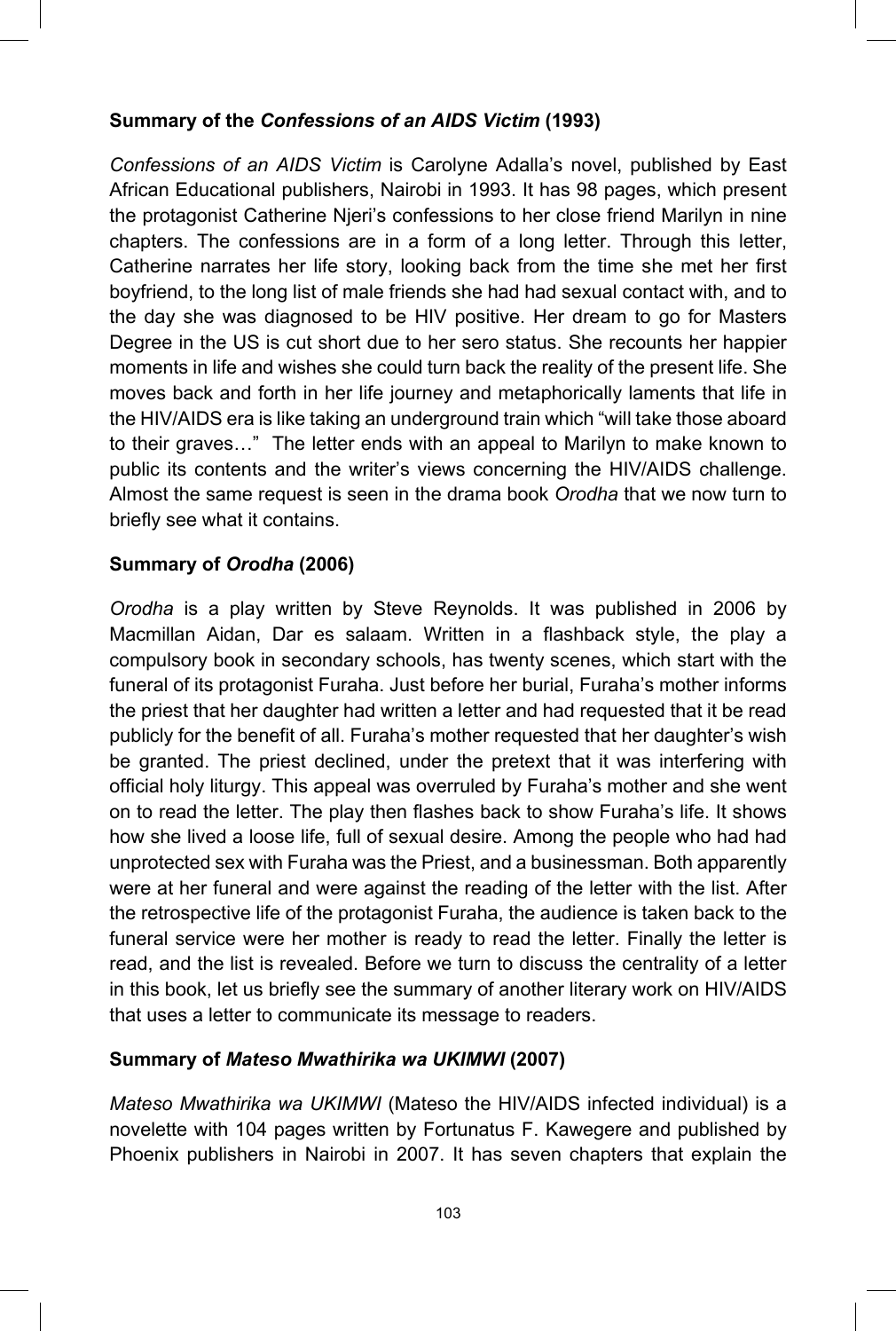## **Summary of the** *Confessions of an AIDS Victim* **(1993)**

*Confessions of an AIDS Victim* is Carolyne Adalla's novel, published by East African Educational publishers, Nairobi in 1993. It has 98 pages, which present the protagonist Catherine Njeri's confessions to her close friend Marilyn in nine chapters. The confessions are in a form of a long letter. Through this letter, Catherine narrates her life story, looking back from the time she met her first boyfriend, to the long list of male friends she had had sexual contact with, and to the day she was diagnosed to be HIV positive. Her dream to go for Masters Degree in the US is cut short due to her sero status. She recounts her happier moments in life and wishes she could turn back the reality of the present life. She moves back and forth in her life journey and metaphorically laments that life in the HIV/AIDS era is like taking an underground train which "will take those aboard to their graves…" The letter ends with an appeal to Marilyn to make known to public its contents and the writer's views concerning the HIV/AIDS challenge. Almost the same request is seen in the drama book *Orodha* that we now turn to briefly see what it contains.

#### **Summary of** *Orodha* **(2006)**

*Orodha* is a play written by Steve Reynolds. It was published in 2006 by Macmillan Aidan, Dar es salaam. Written in a flashback style, the play a compulsory book in secondary schools, has twenty scenes, which start with the funeral of its protagonist Furaha. Just before her burial, Furaha's mother informs the priest that her daughter had written a letter and had requested that it be read publicly for the benefit of all. Furaha's mother requested that her daughter's wish be granted. The priest declined, under the pretext that it was interfering with official holy liturgy. This appeal was overruled by Furaha's mother and she went on to read the letter. The play then flashes back to show Furaha's life. It shows how she lived a loose life, full of sexual desire. Among the people who had had unprotected sex with Furaha was the Priest, and a businessman. Both apparently were at her funeral and were against the reading of the letter with the list. After the retrospective life of the protagonist Furaha, the audience is taken back to the funeral service were her mother is ready to read the letter. Finally the letter is read, and the list is revealed. Before we turn to discuss the centrality of a letter in this book, let us briefly see the summary of another literary work on HIV/AIDS that uses a letter to communicate its message to readers.

#### **Summary of** *Mateso Mwathirika wa UKIMWI* **(2007)**

*Mateso Mwathirika wa UKIMWI* (Mateso the HIV/AIDS infected individual) is a novelette with 104 pages written by Fortunatus F. Kawegere and published by Phoenix publishers in Nairobi in 2007. It has seven chapters that explain the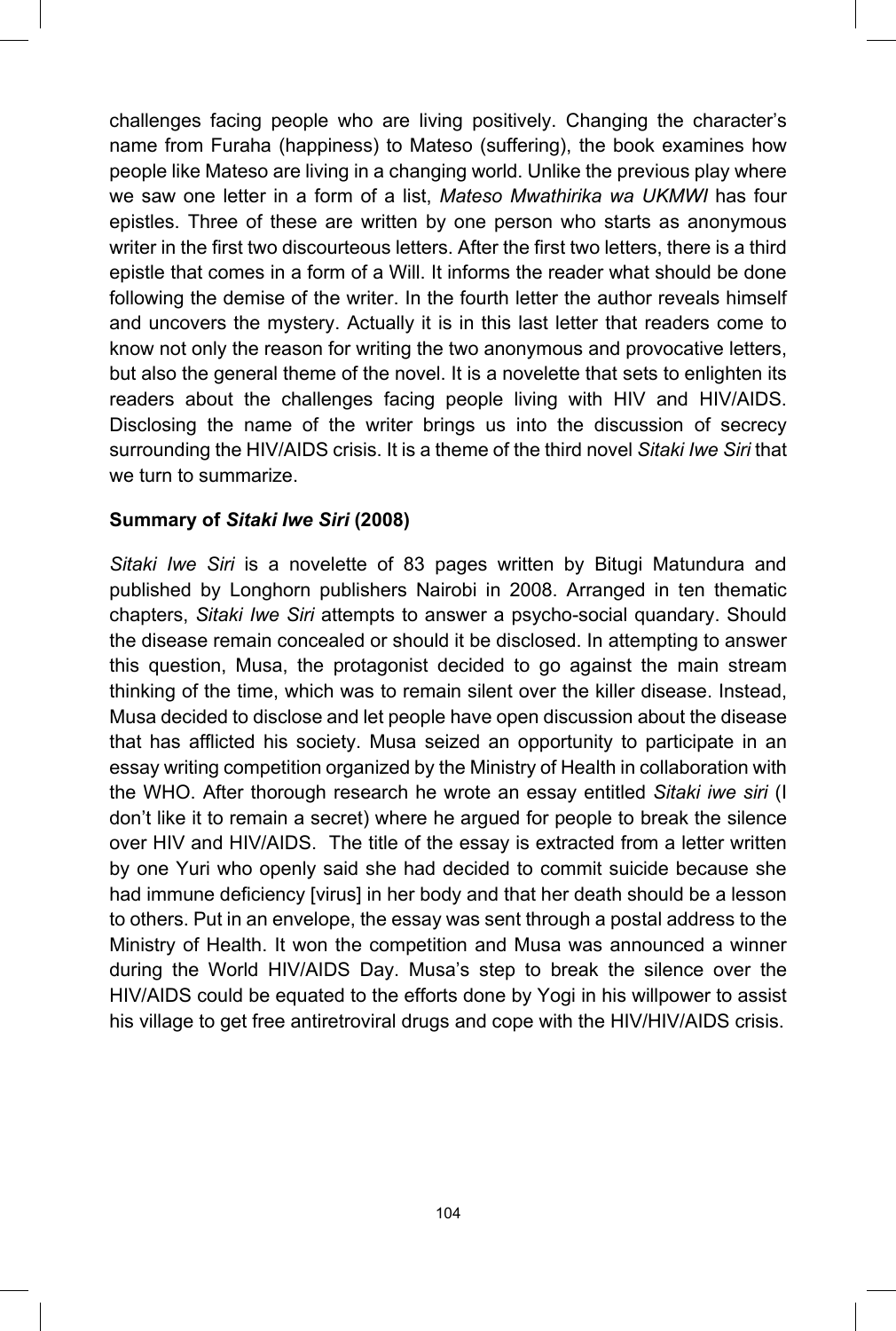challenges facing people who are living positively. Changing the character's name from Furaha (happiness) to Mateso (suffering), the book examines how people like Mateso are living in a changing world. Unlike the previous play where we saw one letter in a form of a list, *Mateso Mwathirika wa UKMWI* has four epistles. Three of these are written by one person who starts as anonymous writer in the first two discourteous letters. After the first two letters, there is a third epistle that comes in a form of a Will. It informs the reader what should be done following the demise of the writer. In the fourth letter the author reveals himself and uncovers the mystery. Actually it is in this last letter that readers come to know not only the reason for writing the two anonymous and provocative letters, but also the general theme of the novel. It is a novelette that sets to enlighten its readers about the challenges facing people living with HIV and HIV/AIDS. Disclosing the name of the writer brings us into the discussion of secrecy surrounding the HIV/AIDS crisis. It is a theme of the third novel *Sitaki Iwe Siri* that we turn to summarize.

## **Summary of** *Sitaki Iwe Siri* **(2008)**

*Sitaki Iwe Siri* is a novelette of 83 pages written by Bitugi Matundura and published by Longhorn publishers Nairobi in 2008. Arranged in ten thematic chapters, *Sitaki Iwe Siri* attempts to answer a psycho-social quandary. Should the disease remain concealed or should it be disclosed. In attempting to answer this question, Musa, the protagonist decided to go against the main stream thinking of the time, which was to remain silent over the killer disease. Instead, Musa decided to disclose and let people have open discussion about the disease that has afflicted his society. Musa seized an opportunity to participate in an essay writing competition organized by the Ministry of Health in collaboration with the WHO. After thorough research he wrote an essay entitled *Sitaki iwe siri* (I don't like it to remain a secret) where he argued for people to break the silence over HIV and HIV/AIDS. The title of the essay is extracted from a letter written by one Yuri who openly said she had decided to commit suicide because she had immune deficiency [virus] in her body and that her death should be a lesson to others. Put in an envelope, the essay was sent through a postal address to the Ministry of Health. It won the competition and Musa was announced a winner during the World HIV/AIDS Day. Musa's step to break the silence over the HIV/AIDS could be equated to the efforts done by Yogi in his willpower to assist his village to get free antiretroviral drugs and cope with the HIV/HIV/AIDS crisis.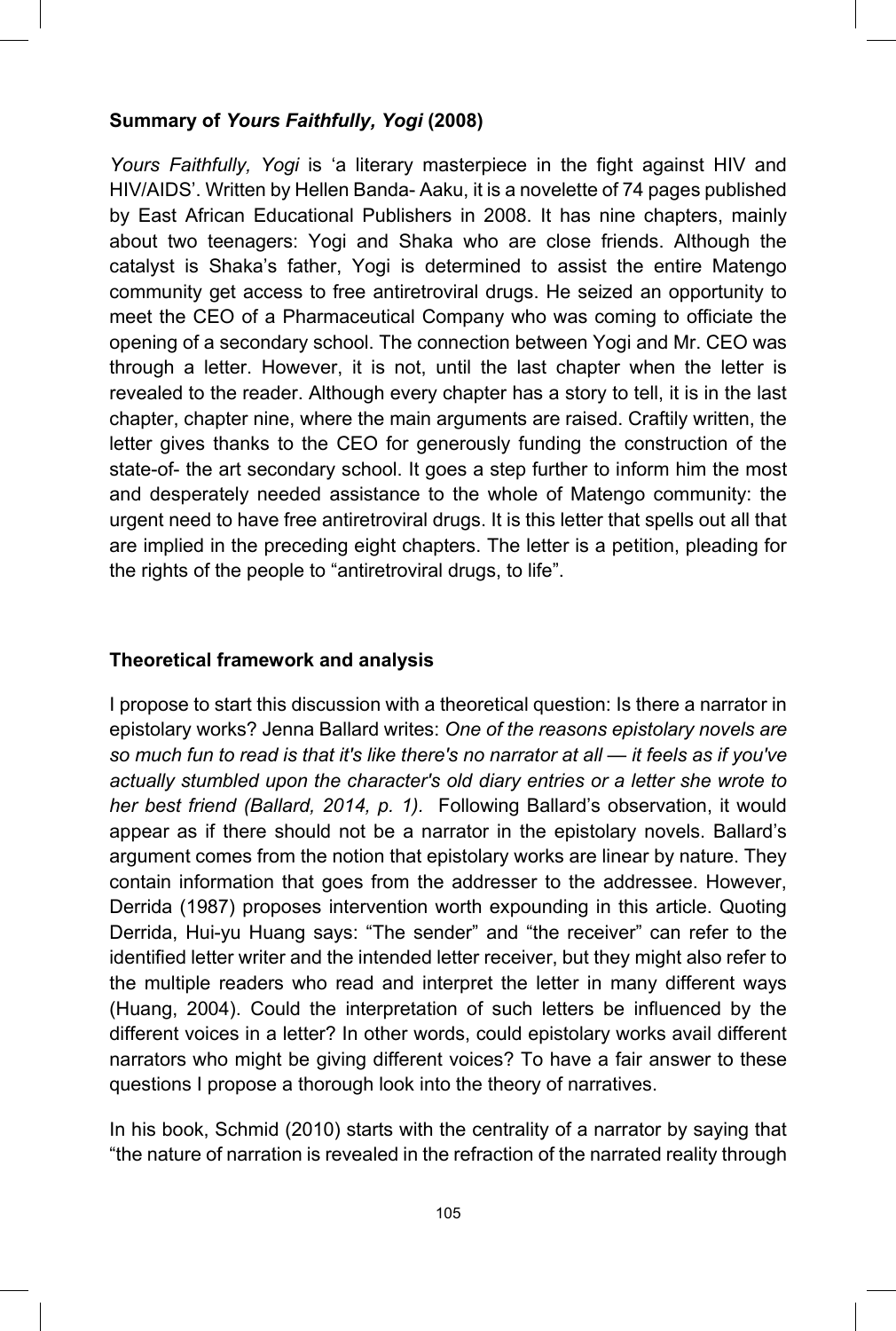### **Summary of** *Yours Faithfully, Yogi* **(2008)**

*Yours Faithfully, Yogi* is 'a literary masterpiece in the fight against HIV and HIV/AIDS'. Written by Hellen Banda- Aaku, it is a novelette of 74 pages published by East African Educational Publishers in 2008. It has nine chapters, mainly about two teenagers: Yogi and Shaka who are close friends. Although the catalyst is Shaka's father, Yogi is determined to assist the entire Matengo community get access to free antiretroviral drugs. He seized an opportunity to meet the CEO of a Pharmaceutical Company who was coming to officiate the opening of a secondary school. The connection between Yogi and Mr. CEO was through a letter. However, it is not, until the last chapter when the letter is revealed to the reader. Although every chapter has a story to tell, it is in the last chapter, chapter nine, where the main arguments are raised. Craftily written, the letter gives thanks to the CEO for generously funding the construction of the state-of- the art secondary school. It goes a step further to inform him the most and desperately needed assistance to the whole of Matengo community: the urgent need to have free antiretroviral drugs. It is this letter that spells out all that are implied in the preceding eight chapters. The letter is a petition, pleading for the rights of the people to "antiretroviral drugs, to life".

#### **Theoretical framework and analysis**

I propose to start this discussion with a theoretical question: Is there a narrator in epistolary works? Jenna Ballard writes: *One of the reasons epistolary novels are so much fun to read is that it's like there's no narrator at all — it feels as if you've actually stumbled upon the character's old diary entries or a letter she wrote to her best friend (Ballard, 2014, p. 1).* Following Ballard's observation, it would appear as if there should not be a narrator in the epistolary novels. Ballard's argument comes from the notion that epistolary works are linear by nature. They contain information that goes from the addresser to the addressee. However, Derrida (1987) proposes intervention worth expounding in this article. Quoting Derrida, Hui-yu Huang says: "The sender" and "the receiver" can refer to the identified letter writer and the intended letter receiver, but they might also refer to the multiple readers who read and interpret the letter in many different ways (Huang, 2004). Could the interpretation of such letters be influenced by the different voices in a letter? In other words, could epistolary works avail different narrators who might be giving different voices? To have a fair answer to these questions I propose a thorough look into the theory of narratives.

In his book, Schmid (2010) starts with the centrality of a narrator by saying that "the nature of narration is revealed in the refraction of the narrated reality through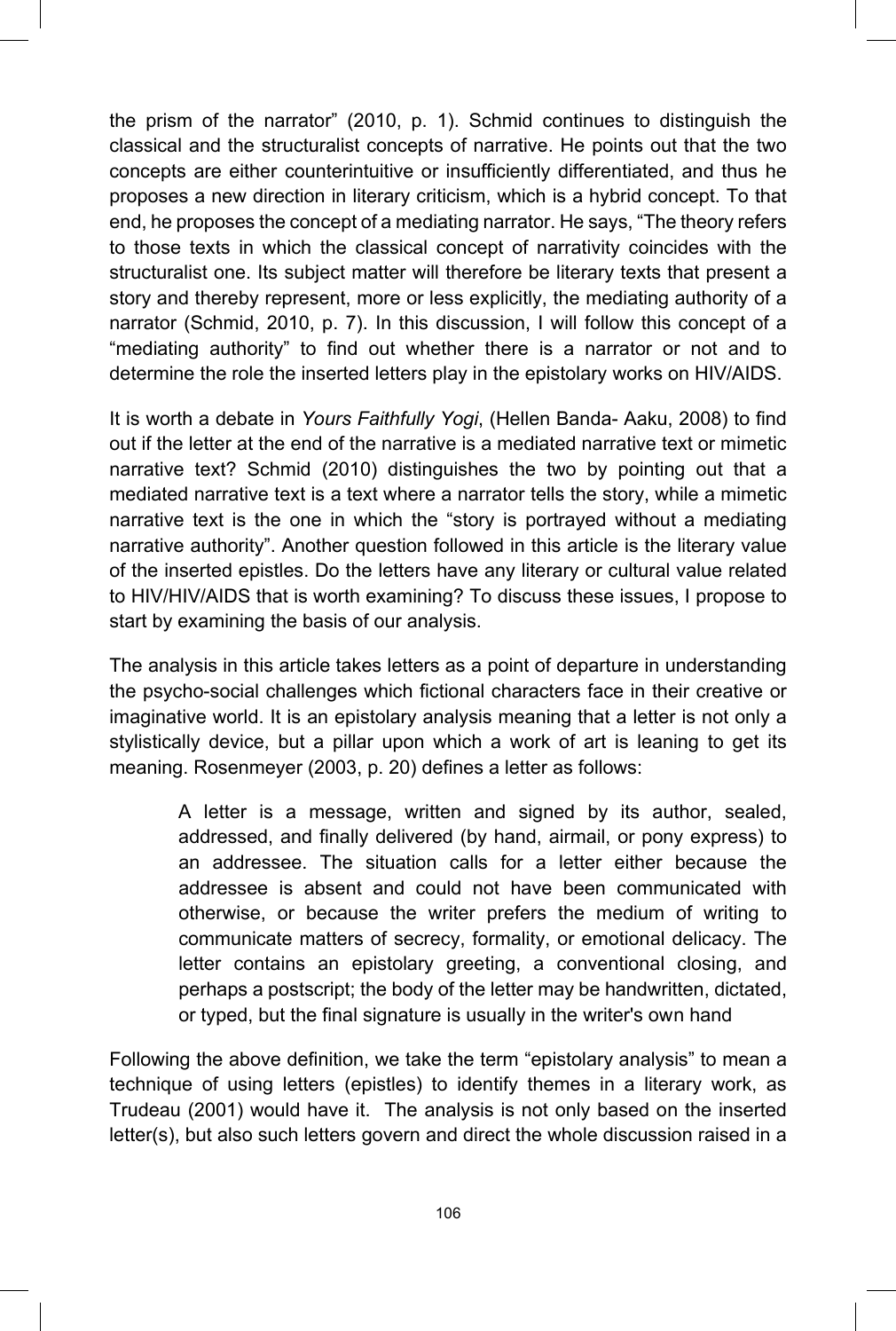the prism of the narrator" (2010, p. 1). Schmid continues to distinguish the classical and the structuralist concepts of narrative. He points out that the two concepts are either counterintuitive or insufficiently differentiated, and thus he proposes a new direction in literary criticism, which is a hybrid concept. To that end, he proposes the concept of a mediating narrator. He says, "The theory refers to those texts in which the classical concept of narrativity coincides with the structuralist one. Its subject matter will therefore be literary texts that present a story and thereby represent, more or less explicitly, the mediating authority of a narrator (Schmid, 2010, p. 7). In this discussion, I will follow this concept of a "mediating authority" to find out whether there is a narrator or not and to determine the role the inserted letters play in the epistolary works on HIV/AIDS.

It is worth a debate in *Yours Faithfully Yogi*, (Hellen Banda- Aaku, 2008) to find out if the letter at the end of the narrative is a mediated narrative text or mimetic narrative text? Schmid (2010) distinguishes the two by pointing out that a mediated narrative text is a text where a narrator tells the story, while a mimetic narrative text is the one in which the "story is portrayed without a mediating narrative authority". Another question followed in this article is the literary value of the inserted epistles. Do the letters have any literary or cultural value related to HIV/HIV/AIDS that is worth examining? To discuss these issues, I propose to start by examining the basis of our analysis.

The analysis in this article takes letters as a point of departure in understanding the psycho-social challenges which fictional characters face in their creative or imaginative world. It is an epistolary analysis meaning that a letter is not only a stylistically device, but a pillar upon which a work of art is leaning to get its meaning. Rosenmeyer (2003, p. 20) defines a letter as follows:

> A letter is a message, written and signed by its author, sealed, addressed, and finally delivered (by hand, airmail, or pony express) to an addressee. The situation calls for a letter either because the addressee is absent and could not have been communicated with otherwise, or because the writer prefers the medium of writing to communicate matters of secrecy, formality, or emotional delicacy. The letter contains an epistolary greeting, a conventional closing, and perhaps a postscript; the body of the letter may be handwritten, dictated, or typed, but the final signature is usually in the writer's own hand

Following the above definition, we take the term "epistolary analysis" to mean a technique of using letters (epistles) to identify themes in a literary work, as Trudeau (2001) would have it. The analysis is not only based on the inserted letter(s), but also such letters govern and direct the whole discussion raised in a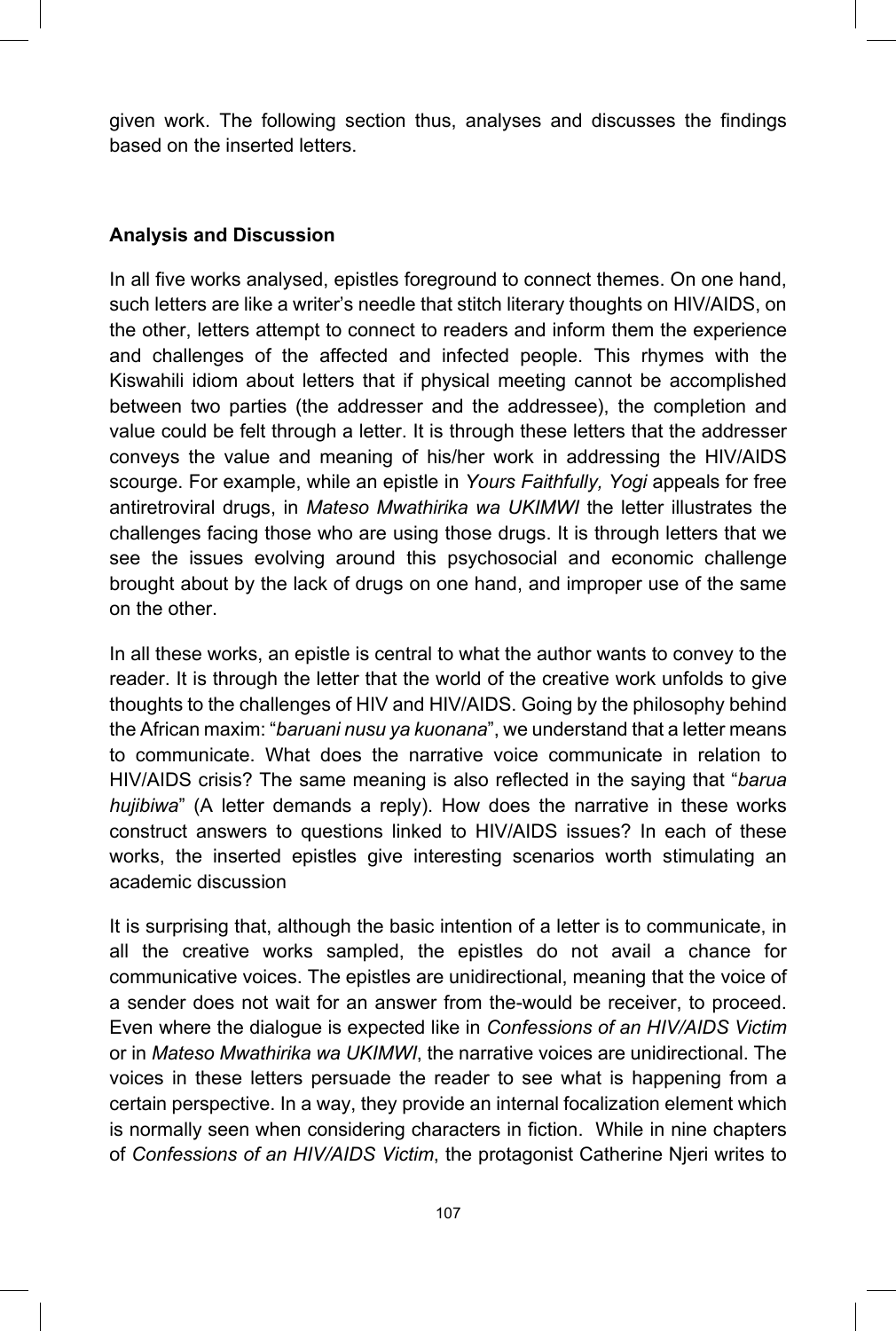given work. The following section thus, analyses and discusses the findings based on the inserted letters.

## **Analysis and Discussion**

In all five works analysed, epistles foreground to connect themes. On one hand, such letters are like a writer's needle that stitch literary thoughts on HIV/AIDS, on the other, letters attempt to connect to readers and inform them the experience and challenges of the affected and infected people. This rhymes with the Kiswahili idiom about letters that if physical meeting cannot be accomplished between two parties (the addresser and the addressee), the completion and value could be felt through a letter. It is through these letters that the addresser conveys the value and meaning of his/her work in addressing the HIV/AIDS scourge. For example, while an epistle in *Yours Faithfully, Yogi* appeals for free antiretroviral drugs, in *Mateso Mwathirika wa UKIMWI* the letter illustrates the challenges facing those who are using those drugs. It is through letters that we see the issues evolving around this psychosocial and economic challenge brought about by the lack of drugs on one hand, and improper use of the same on the other.

In all these works, an epistle is central to what the author wants to convey to the reader. It is through the letter that the world of the creative work unfolds to give thoughts to the challenges of HIV and HIV/AIDS. Going by the philosophy behind the African maxim: "*baruani nusu ya kuonana*", we understand that a letter means to communicate. What does the narrative voice communicate in relation to HIV/AIDS crisis? The same meaning is also reflected in the saying that "*barua hujibiwa*" (A letter demands a reply). How does the narrative in these works construct answers to questions linked to HIV/AIDS issues? In each of these works, the inserted epistles give interesting scenarios worth stimulating an academic discussion

It is surprising that, although the basic intention of a letter is to communicate, in all the creative works sampled, the epistles do not avail a chance for communicative voices. The epistles are unidirectional, meaning that the voice of a sender does not wait for an answer from the-would be receiver, to proceed. Even where the dialogue is expected like in *Confessions of an HIV/AIDS Victim* or in *Mateso Mwathirika wa UKIMWI*, the narrative voices are unidirectional. The voices in these letters persuade the reader to see what is happening from a certain perspective. In a way, they provide an internal focalization element which is normally seen when considering characters in fiction. While in nine chapters of *Confessions of an HIV/AIDS Victim*, the protagonist Catherine Njeri writes to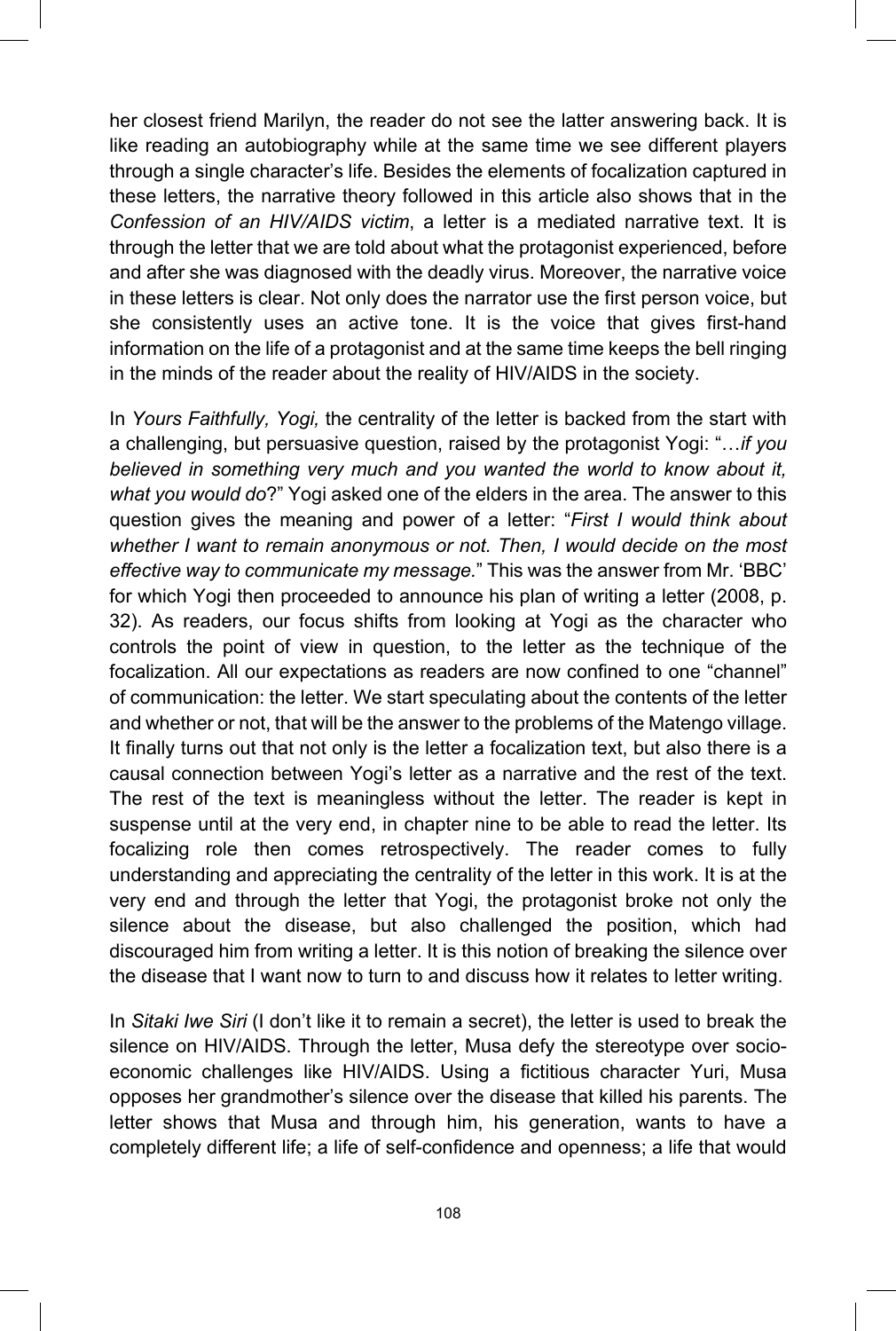her closest friend Marilyn, the reader do not see the latter answering back. It is like reading an autobiography while at the same time we see different players through a single character's life. Besides the elements of focalization captured in these letters, the narrative theory followed in this article also shows that in the *Confession of an HIV/AIDS victim*, a letter is a mediated narrative text. It is through the letter that we are told about what the protagonist experienced, before and after she was diagnosed with the deadly virus. Moreover, the narrative voice in these letters is clear. Not only does the narrator use the first person voice, but she consistently uses an active tone. It is the voice that gives first-hand information on the life of a protagonist and at the same time keeps the bell ringing in the minds of the reader about the reality of HIV/AIDS in the society.

In *Yours Faithfully, Yogi,* the centrality of the letter is backed from the start with a challenging, but persuasive question, raised by the protagonist Yogi: "…*if you believed in something very much and you wanted the world to know about it, what you would do*?" Yogi asked one of the elders in the area. The answer to this question gives the meaning and power of a letter: "*First I would think about whether I want to remain anonymous or not. Then, I would decide on the most effective way to communicate my message.*" This was the answer from Mr. 'BBC' for which Yogi then proceeded to announce his plan of writing a letter (2008, p. 32). As readers, our focus shifts from looking at Yogi as the character who controls the point of view in question, to the letter as the technique of the focalization. All our expectations as readers are now confined to one "channel" of communication: the letter. We start speculating about the contents of the letter and whether or not, that will be the answer to the problems of the Matengo village. It finally turns out that not only is the letter a focalization text, but also there is a causal connection between Yogi's letter as a narrative and the rest of the text. The rest of the text is meaningless without the letter. The reader is kept in suspense until at the very end, in chapter nine to be able to read the letter. Its focalizing role then comes retrospectively. The reader comes to fully understanding and appreciating the centrality of the letter in this work. It is at the very end and through the letter that Yogi, the protagonist broke not only the silence about the disease, but also challenged the position, which had discouraged him from writing a letter. It is this notion of breaking the silence over the disease that I want now to turn to and discuss how it relates to letter writing.

In *Sitaki Iwe Siri* (I don't like it to remain a secret), the letter is used to break the silence on HIV/AIDS. Through the letter, Musa defy the stereotype over socioeconomic challenges like HIV/AIDS. Using a fictitious character Yuri, Musa opposes her grandmother's silence over the disease that killed his parents. The letter shows that Musa and through him, his generation, wants to have a completely different life; a life of self-confidence and openness; a life that would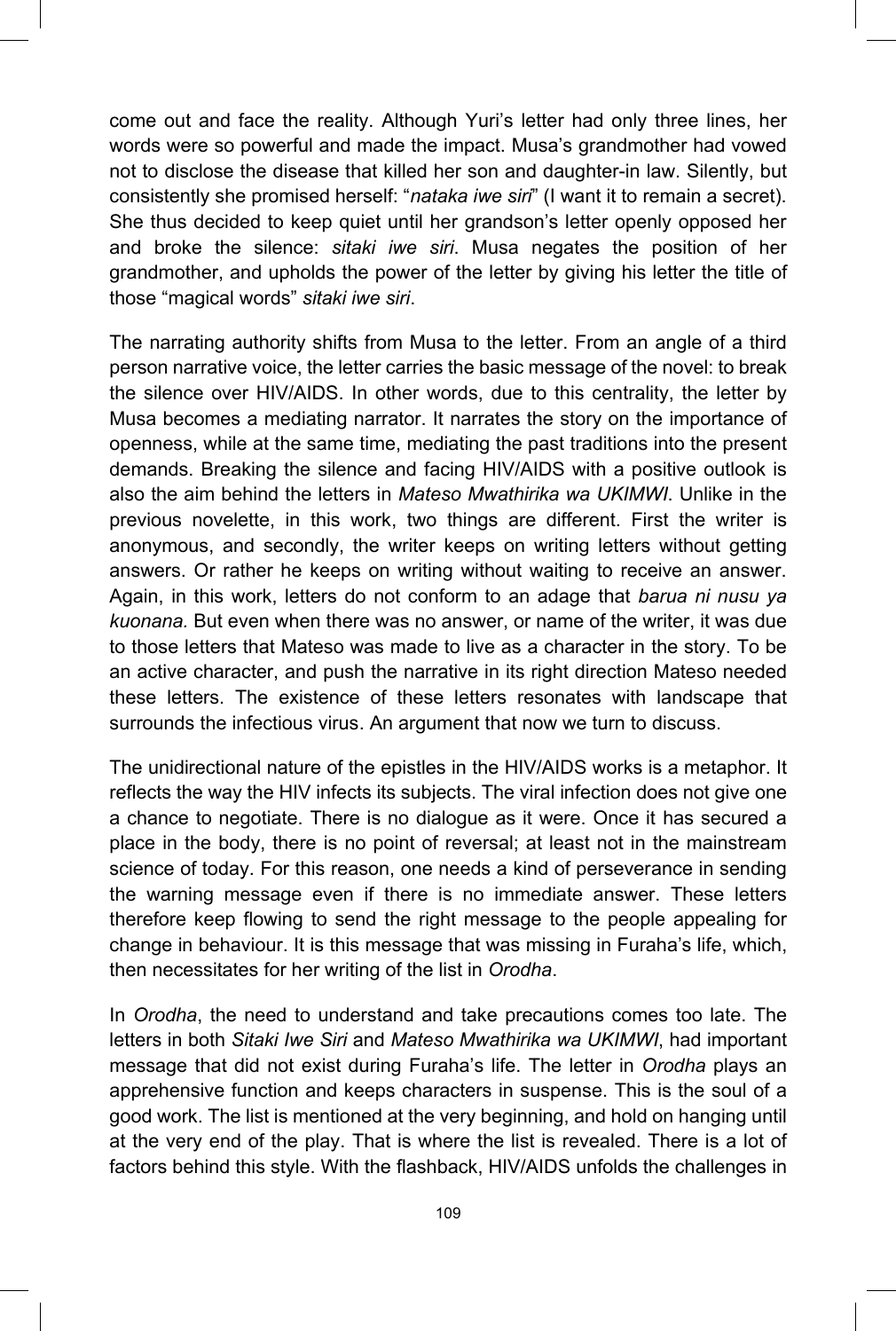come out and face the reality. Although Yuri's letter had only three lines, her words were so powerful and made the impact. Musa's grandmother had vowed not to disclose the disease that killed her son and daughter-in law. Silently, but consistently she promised herself: "*nataka iwe siri*" (I want it to remain a secret). She thus decided to keep quiet until her grandson's letter openly opposed her and broke the silence: *sitaki iwe siri*. Musa negates the position of her grandmother, and upholds the power of the letter by giving his letter the title of those "magical words" *sitaki iwe siri*.

The narrating authority shifts from Musa to the letter. From an angle of a third person narrative voice, the letter carries the basic message of the novel: to break the silence over HIV/AIDS. In other words, due to this centrality, the letter by Musa becomes a mediating narrator. It narrates the story on the importance of openness, while at the same time, mediating the past traditions into the present demands. Breaking the silence and facing HIV/AIDS with a positive outlook is also the aim behind the letters in *Mateso Mwathirika wa UKIMWI*. Unlike in the previous novelette, in this work, two things are different. First the writer is anonymous, and secondly, the writer keeps on writing letters without getting answers. Or rather he keeps on writing without waiting to receive an answer. Again, in this work, letters do not conform to an adage that *barua ni nusu ya kuonana.* But even when there was no answer, or name of the writer, it was due to those letters that Mateso was made to live as a character in the story. To be an active character, and push the narrative in its right direction Mateso needed these letters. The existence of these letters resonates with landscape that surrounds the infectious virus. An argument that now we turn to discuss.

The unidirectional nature of the epistles in the HIV/AIDS works is a metaphor. It reflects the way the HIV infects its subjects. The viral infection does not give one a chance to negotiate. There is no dialogue as it were. Once it has secured a place in the body, there is no point of reversal; at least not in the mainstream science of today. For this reason, one needs a kind of perseverance in sending the warning message even if there is no immediate answer. These letters therefore keep flowing to send the right message to the people appealing for change in behaviour. It is this message that was missing in Furaha's life, which, then necessitates for her writing of the list in *Orodha*.

In *Orodha*, the need to understand and take precautions comes too late. The letters in both *Sitaki Iwe Siri* and *Mateso Mwathirika wa UKIMWI*, had important message that did not exist during Furaha's life. The letter in *Orodha* plays an apprehensive function and keeps characters in suspense. This is the soul of a good work. The list is mentioned at the very beginning, and hold on hanging until at the very end of the play. That is where the list is revealed. There is a lot of factors behind this style. With the flashback, HIV/AIDS unfolds the challenges in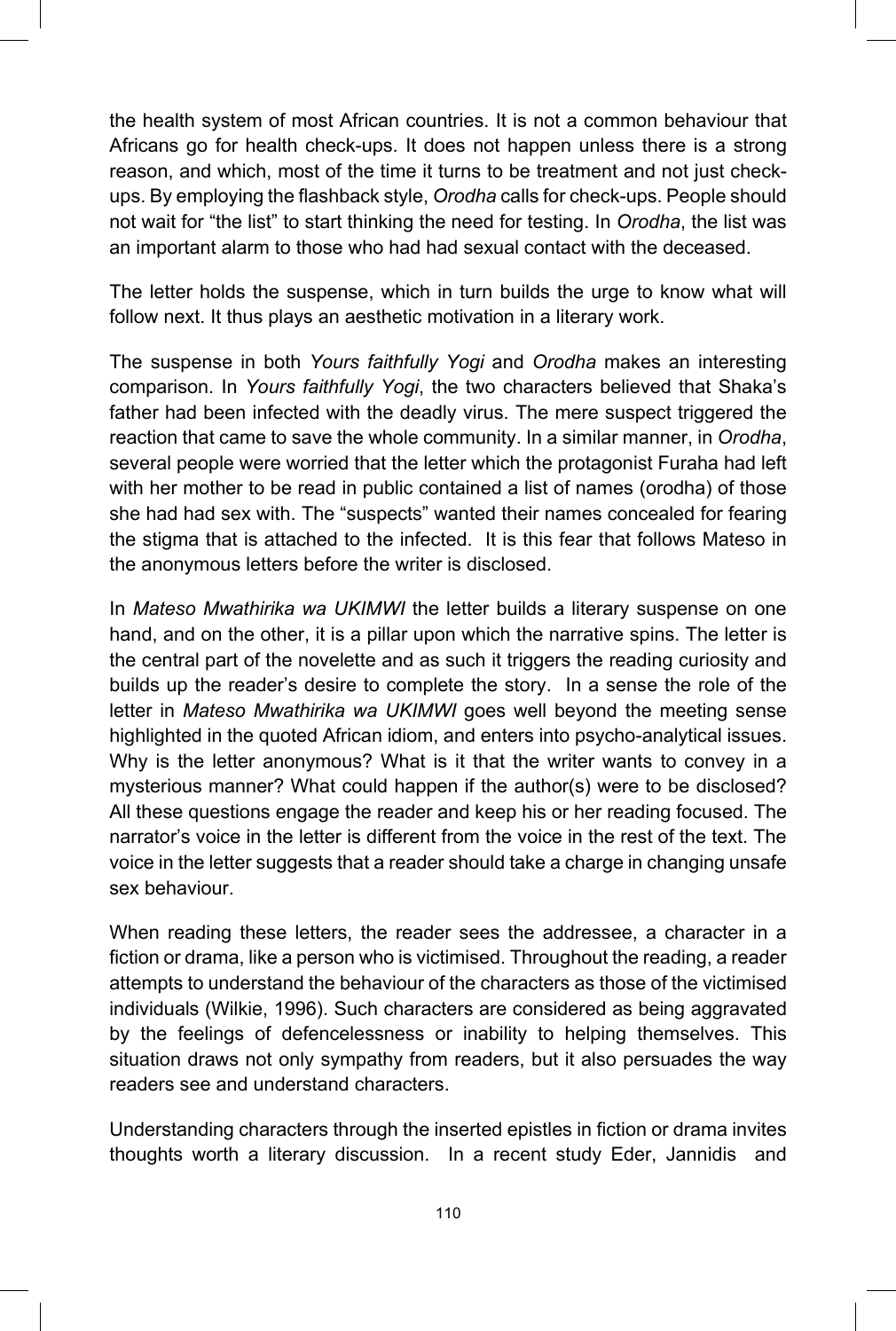the health system of most African countries. It is not a common behaviour that Africans go for health check-ups. It does not happen unless there is a strong reason, and which, most of the time it turns to be treatment and not just checkups. By employing the flashback style, *Orodha* calls for check-ups. People should not wait for "the list" to start thinking the need for testing. In *Orodha*, the list was an important alarm to those who had had sexual contact with the deceased.

The letter holds the suspense, which in turn builds the urge to know what will follow next. It thus plays an aesthetic motivation in a literary work.

The suspense in both *Yours faithfully Yogi* and *Orodha* makes an interesting comparison. In *Yours faithfully Yogi*, the two characters believed that Shaka's father had been infected with the deadly virus. The mere suspect triggered the reaction that came to save the whole community. In a similar manner, in *Orodha*, several people were worried that the letter which the protagonist Furaha had left with her mother to be read in public contained a list of names (orodha) of those she had had sex with. The "suspects" wanted their names concealed for fearing the stigma that is attached to the infected. It is this fear that follows Mateso in the anonymous letters before the writer is disclosed.

In *Mateso Mwathirika wa UKIMWI* the letter builds a literary suspense on one hand, and on the other, it is a pillar upon which the narrative spins. The letter is the central part of the novelette and as such it triggers the reading curiosity and builds up the reader's desire to complete the story. In a sense the role of the letter in *Mateso Mwathirika wa UKIMWI* goes well beyond the meeting sense highlighted in the quoted African idiom, and enters into psycho-analytical issues. Why is the letter anonymous? What is it that the writer wants to convey in a mysterious manner? What could happen if the author(s) were to be disclosed? All these questions engage the reader and keep his or her reading focused. The narrator's voice in the letter is different from the voice in the rest of the text. The voice in the letter suggests that a reader should take a charge in changing unsafe sex behaviour.

When reading these letters, the reader sees the addressee, a character in a fiction or drama, like a person who is victimised. Throughout the reading, a reader attempts to understand the behaviour of the characters as those of the victimised individuals (Wilkie, 1996). Such characters are considered as being aggravated by the feelings of defencelessness or inability to helping themselves. This situation draws not only sympathy from readers, but it also persuades the way readers see and understand characters.

Understanding characters through the inserted epistles in fiction or drama invites thoughts worth a literary discussion. In a recent study Eder, Jannidis and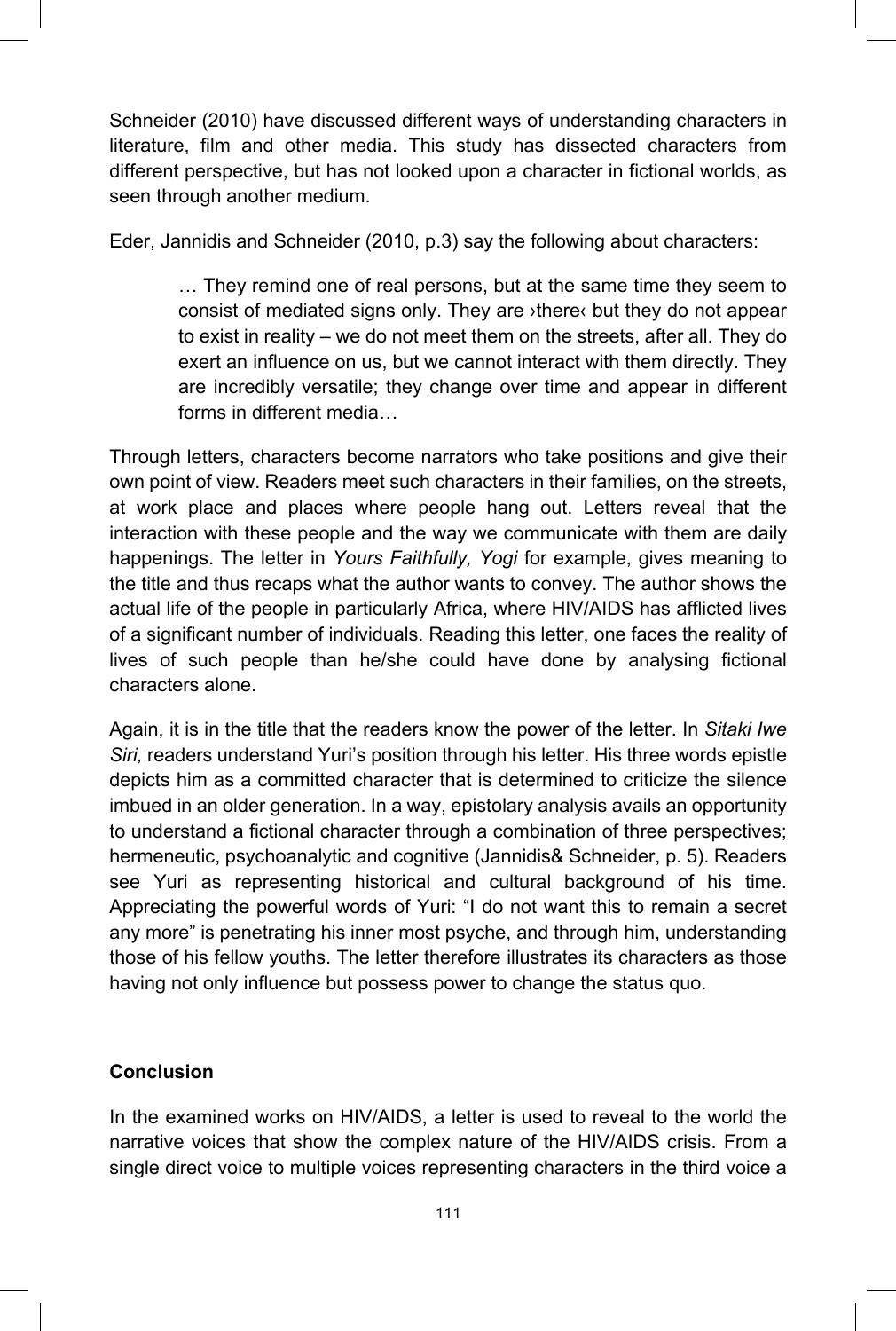Schneider (2010) have discussed different ways of understanding characters in literature, film and other media. This study has dissected characters from different perspective, but has not looked upon a character in fictional worlds, as seen through another medium.

Eder, Jannidis and Schneider (2010, p.3) say the following about characters:

… They remind one of real persons, but at the same time they seem to consist of mediated signs only. They are ›there‹ but they do not appear to exist in reality – we do not meet them on the streets, after all. They do exert an influence on us, but we cannot interact with them directly. They are incredibly versatile; they change over time and appear in different forms in different media…

Through letters, characters become narrators who take positions and give their own point of view. Readers meet such characters in their families, on the streets, at work place and places where people hang out. Letters reveal that the interaction with these people and the way we communicate with them are daily happenings. The letter in *Yours Faithfully, Yogi* for example, gives meaning to the title and thus recaps what the author wants to convey. The author shows the actual life of the people in particularly Africa, where HIV/AIDS has afflicted lives of a significant number of individuals. Reading this letter, one faces the reality of lives of such people than he/she could have done by analysing fictional characters alone.

Again, it is in the title that the readers know the power of the letter. In *Sitaki Iwe Siri,* readers understand Yuri's position through his letter. His three words epistle depicts him as a committed character that is determined to criticize the silence imbued in an older generation. In a way, epistolary analysis avails an opportunity to understand a fictional character through a combination of three perspectives; hermeneutic, psychoanalytic and cognitive (Jannidis& Schneider, p. 5). Readers see Yuri as representing historical and cultural background of his time. Appreciating the powerful words of Yuri: "I do not want this to remain a secret any more" is penetrating his inner most psyche, and through him, understanding those of his fellow youths. The letter therefore illustrates its characters as those having not only influence but possess power to change the status quo.

## **Conclusion**

In the examined works on HIV/AIDS, a letter is used to reveal to the world the narrative voices that show the complex nature of the HIV/AIDS crisis. From a single direct voice to multiple voices representing characters in the third voice a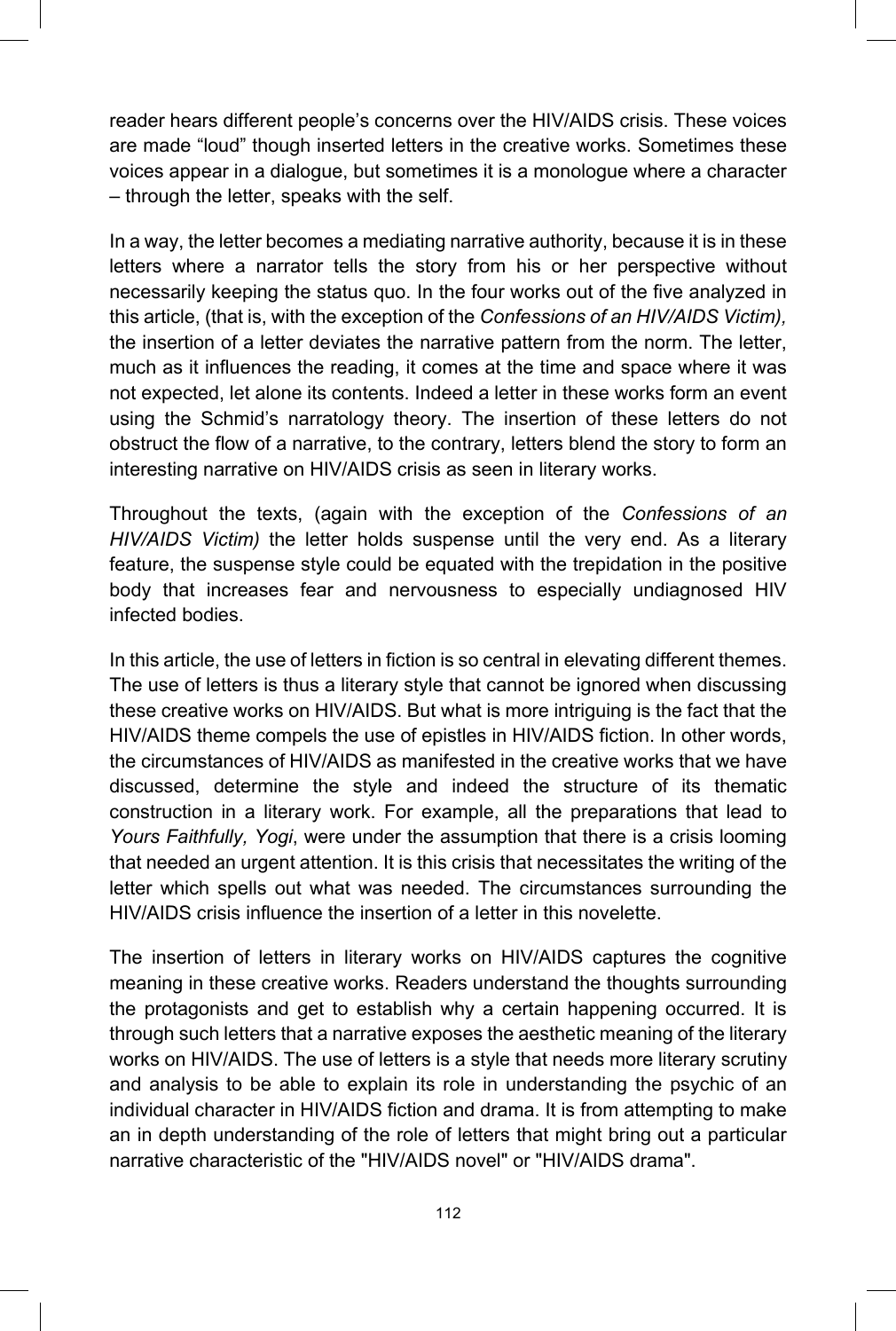reader hears different people's concerns over the HIV/AIDS crisis. These voices are made "loud" though inserted letters in the creative works. Sometimes these voices appear in a dialogue, but sometimes it is a monologue where a character – through the letter, speaks with the self.

In a way, the letter becomes a mediating narrative authority, because it is in these letters where a narrator tells the story from his or her perspective without necessarily keeping the status quo. In the four works out of the five analyzed in this article, (that is, with the exception of the *Confessions of an HIV/AIDS Victim),* the insertion of a letter deviates the narrative pattern from the norm. The letter, much as it influences the reading, it comes at the time and space where it was not expected, let alone its contents. Indeed a letter in these works form an event using the Schmid's narratology theory. The insertion of these letters do not obstruct the flow of a narrative, to the contrary, letters blend the story to form an interesting narrative on HIV/AIDS crisis as seen in literary works.

Throughout the texts, (again with the exception of the *Confessions of an HIV/AIDS Victim)* the letter holds suspense until the very end. As a literary feature, the suspense style could be equated with the trepidation in the positive body that increases fear and nervousness to especially undiagnosed HIV infected bodies.

In this article, the use of letters in fiction is so central in elevating different themes. The use of letters is thus a literary style that cannot be ignored when discussing these creative works on HIV/AIDS. But what is more intriguing is the fact that the HIV/AIDS theme compels the use of epistles in HIV/AIDS fiction. In other words, the circumstances of HIV/AIDS as manifested in the creative works that we have discussed, determine the style and indeed the structure of its thematic construction in a literary work. For example, all the preparations that lead to *Yours Faithfully, Yogi*, were under the assumption that there is a crisis looming that needed an urgent attention. It is this crisis that necessitates the writing of the letter which spells out what was needed. The circumstances surrounding the HIV/AIDS crisis influence the insertion of a letter in this novelette.

The insertion of letters in literary works on HIV/AIDS captures the cognitive meaning in these creative works. Readers understand the thoughts surrounding the protagonists and get to establish why a certain happening occurred. It is through such letters that a narrative exposes the aesthetic meaning of the literary works on HIV/AIDS. The use of letters is a style that needs more literary scrutiny and analysis to be able to explain its role in understanding the psychic of an individual character in HIV/AIDS fiction and drama. It is from attempting to make an in depth understanding of the role of letters that might bring out a particular narrative characteristic of the "HIV/AIDS novel" or "HIV/AIDS drama".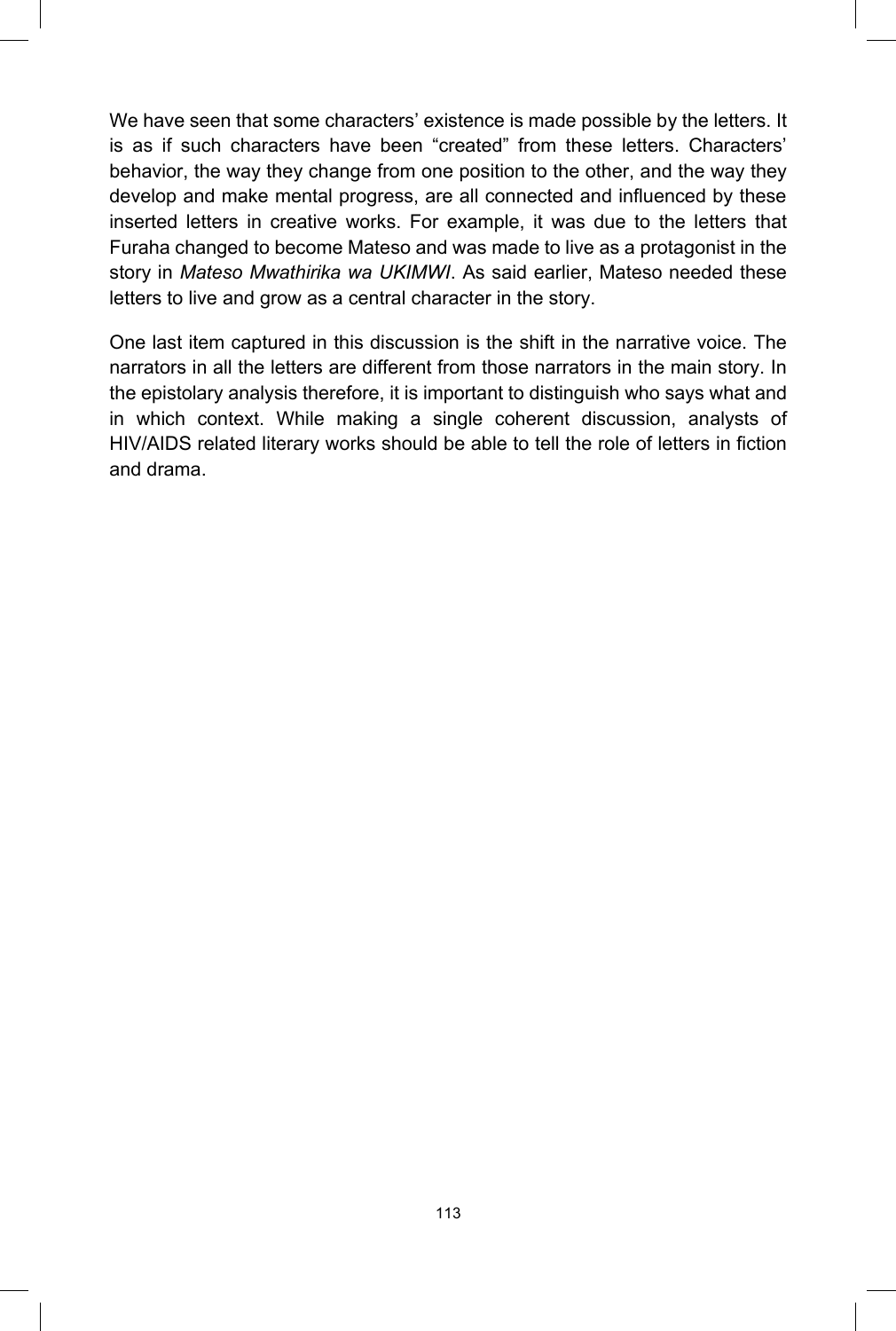We have seen that some characters' existence is made possible by the letters. It is as if such characters have been "created" from these letters. Characters' behavior, the way they change from one position to the other, and the way they develop and make mental progress, are all connected and influenced by these inserted letters in creative works. For example, it was due to the letters that Furaha changed to become Mateso and was made to live as a protagonist in the story in *Mateso Mwathirika wa UKIMWI*. As said earlier, Mateso needed these letters to live and grow as a central character in the story.

One last item captured in this discussion is the shift in the narrative voice. The narrators in all the letters are different from those narrators in the main story. In the epistolary analysis therefore, it is important to distinguish who says what and in which context. While making a single coherent discussion, analysts of HIV/AIDS related literary works should be able to tell the role of letters in fiction and drama.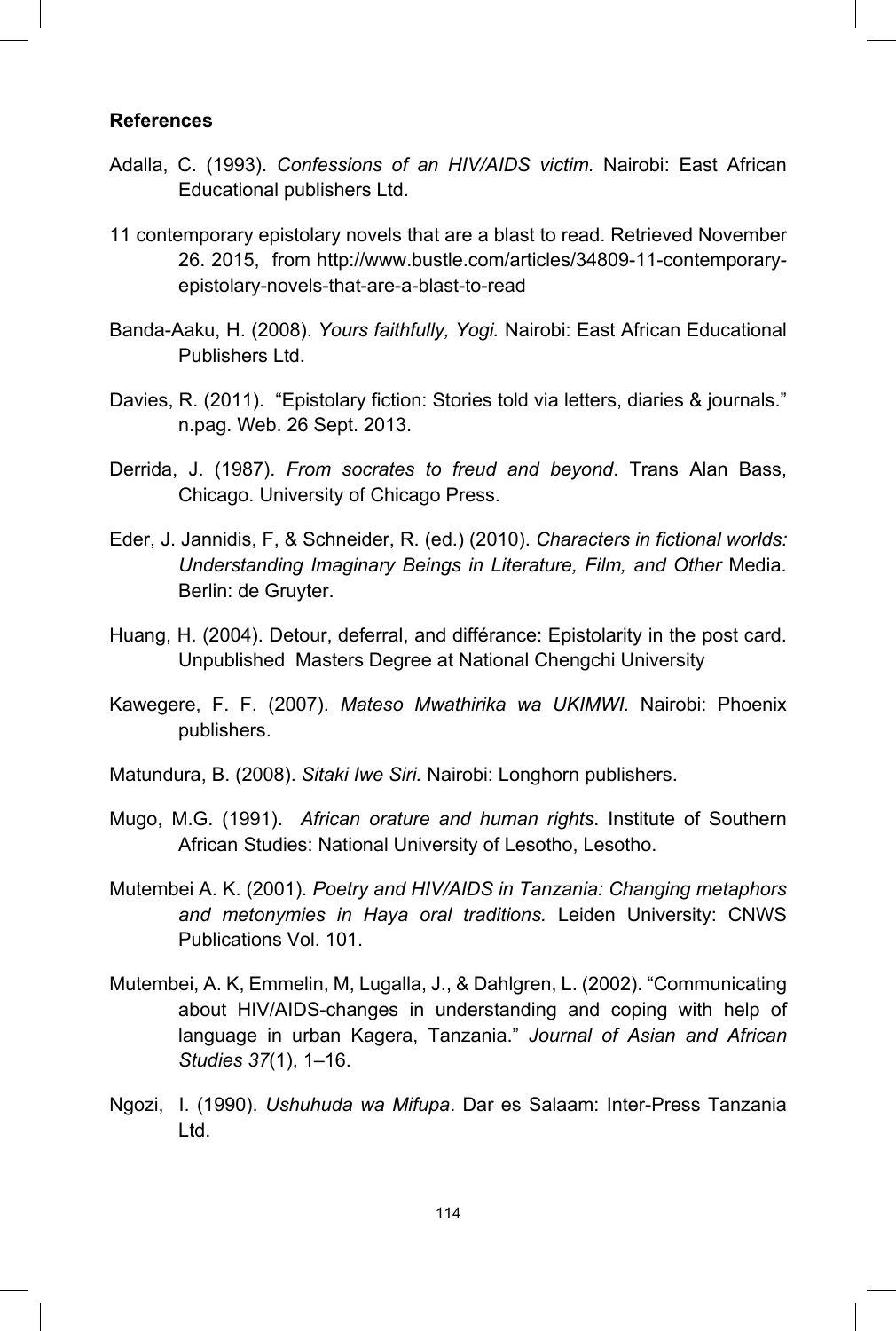#### **References**

- Adalla, C. (1993). *Confessions of an HIV/AIDS victim.* Nairobi: East African Educational publishers Ltd.
- 11 contemporary epistolary novels that are a blast to read. Retrieved November 26. 2015, from http://www.bustle.com/articles/34809-11-contemporaryepistolary-novels-that-are-a-blast-to-read
- Banda-Aaku, H. (2008). *Yours faithfully, Yogi.* Nairobi: East African Educational Publishers Ltd.
- Davies, R. (2011). "Epistolary fiction: Stories told via letters, diaries & journals." n.pag. Web. 26 Sept. 2013.
- Derrida, J. (1987). *From socrates to freud and beyond*. Trans Alan Bass, Chicago. University of Chicago Press.
- Eder, J. Jannidis, F, & Schneider, R. (ed.) (2010). *Characters in fictional worlds: Understanding Imaginary Beings in Literature, Film, and Other* Media. Berlin: de Gruyter.
- Huang, H. (2004). Detour, deferral, and différance: Epistolarity in the post card. Unpublished Masters Degree at National Chengchi University
- Kawegere, F. F. (2007). *Mateso Mwathirika wa UKIMWI.* Nairobi: Phoenix publishers.
- Matundura, B. (2008). *Sitaki Iwe Siri.* Nairobi: Longhorn publishers.
- Mugo, M.G. (1991). *African orature and human rights*. Institute of Southern African Studies: National University of Lesotho, Lesotho.
- Mutembei A. K. (2001). *Poetry and HIV/AIDS in Tanzania: Changing metaphors and metonymies in Haya oral traditions.* Leiden University: CNWS Publications Vol. 101.
- Mutembei, A. K, Emmelin, M, Lugalla, J., & Dahlgren, L. (2002). "Communicating about HIV/AIDS-changes in understanding and coping with help of language in urban Kagera, Tanzania." *Journal of Asian and African Studies 37*(1), 1–16.
- Ngozi, I. (1990). *Ushuhuda wa Mifupa*. Dar es Salaam: Inter-Press Tanzania Ltd.